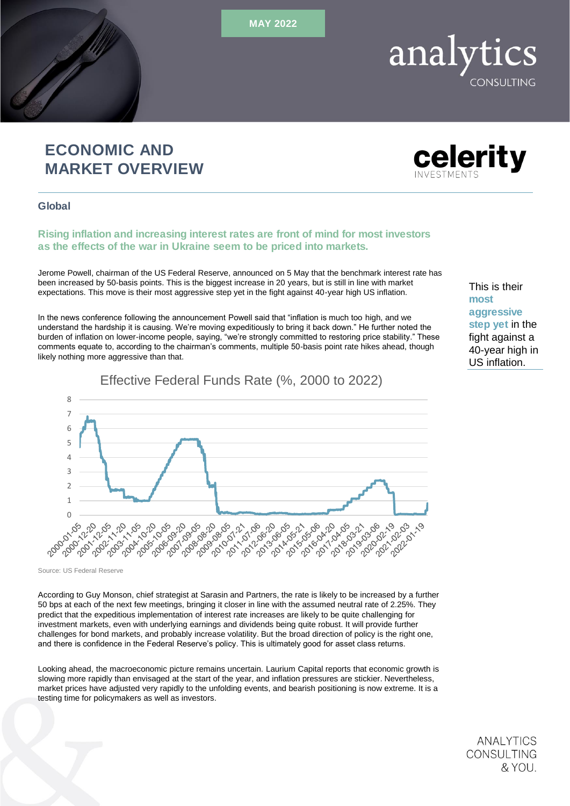MAY 2022

## ECONOMIC AND MARKET OVERVIEW

Global

## Rising inflation and increasing interest rates are front of mind for most investors as the effects of the war in Ukraine seem to be priced into markets.

Jerome Powell, chairman of the US Federal Reserve, announced on 5 May that the benchmark interest rate has been increased by 50-basis points. This is the biggest increase in 20 years, but is still in line with market expectations. This move is their most aggressive step yet in the fight against 40-year high US inflation.

In the news conference following the announcement Powell said that "inflation is much too high, and we understand the hardship it is causing. We're moving expeditiously to bring it back down." He further noted the burden of inflation on lower-income people, saying, "we're strongly committed to restoring price stability." These comments equate to, according to the chairman's comments, multiple 50-basis point rate hikes ahead, though likely nothing more aggressive than that.

Effective Federal Funds Rate (%, 2000 to 2022)

8 7 6 5 4 3 2 1 3-28-26-26-26<br>6-26-26-27-26<br>8-26-26-26-26-26-26-26 2002/12/22 10312126 21/10628 21.506.70 1,21,21,42 10110102 201101819 2019-00-21 2012-06-06 2921-2921 2014-01-19 ؆ؼڡڔۣ۬ڞڗۿۑٚڞڮٚڞڮڞڲ؋ڮۄڂ؋<br>؆ۑ؆ۑ؆ڝڔٚ؇ؠ؆ؠ؆ڝڲۄڴ؆ڝڰۄڴ 2020-02 12021-01

Source: US Federal Reserve

According to Guy Monson, chief strategist at Sarasin and Partners, the rate is likely to be increased by a further 50 bps at each of the next few meetings, bringing it closer in line with the assumed neutral rate of 2.25%. They predict that the expeditious implementation of interest rate increases are likely to be quite challenging for investment markets, even with underlying earnings and dividends being quite robust. It will provide further challenges for bond markets, and probably increase volatility. But the broad direction of policy is the right one, and there is confidence in the Federal Reserve's policy. This is ultimately good for asset class returns.

Looking ahead, the macroeconomic picture remains uncertain. Laurium Capital reports that economic growth is slowing more rapidly than envisaged at the start of the year, and inflation pressures are stickier. Nevertheless, market prices have adjusted very rapidly to the unfolding events, and bearish positioning is now extreme. It is a testing time for policymakers as well as investors.

fight against a 40-year high in US inflation.

**ANALYTICS** CONSULTING

& YOU.

This is their

aggressive step yet in the

most





# **ONSULTING**

analytics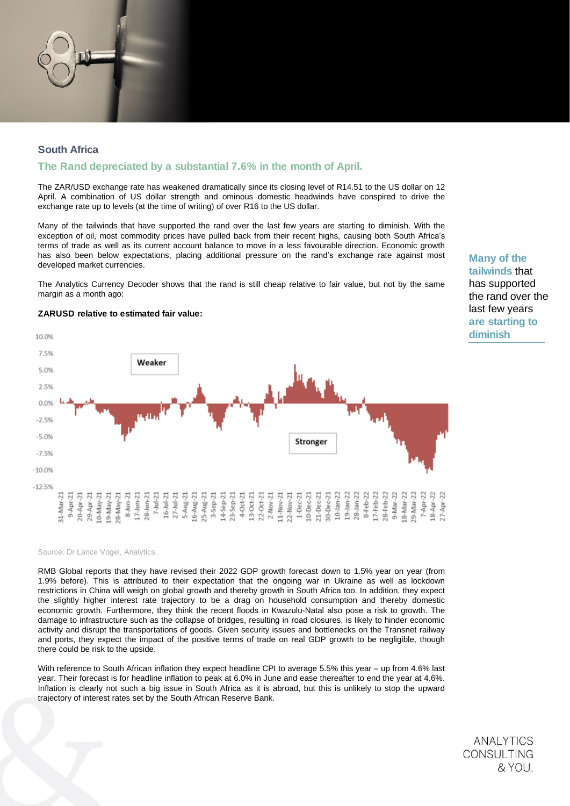## South Africa

## The Rand depreciated by a substantial 7.6% in the month of April.

The ZAR/USD exchange rate has weakened dramatically since its closing level of R14.51 to the US dollar on 12 April. A combination of US dollar strength and ominous domestic headwinds have conspired to drive the exchange rate up to levels (at the time of writing) of over R16 to the US dollar.

Many of the tailwinds that have supported the rand over the last few years are starting to diminish. With the exception of oil, most commodity prices have pulled back from their recent highs, causing both South Africa's terms of trade as well as its current account balance to move in a less favourable direction. Economic growth has also been below expectations, placing additional pressure on the rand's exchange rate against most developed market currencies.

The Analytics Currency Decoder shows that the rand is still cheap relative to fair value, but not by the same margin as a month ago:

10.0% 7.5% Weaker 5.0% 2.5% 0.0%  $-2.5%$  $-5.0%$ Stronger  $-7.5%$  $-10.0%$  $-12.5%$ 25-Aug-21<br>3-Sep-21<br>3-Sep-21<br>14-Sep-21<br>4-Oct-21<br>2-Nov-21<br>2-Nov-21  $\begin{array}{c} \text{1-} \text{1-} \text{1-} \text{2-} \text{2-} \text{2-} \text{2-} \text{2-} \text{2-} \text{2-} \text{2-} \text{2-} \text{2-} \text{2-} \text{2-} \text{2-} \text{2-} \text{2-} \text{2-} \text{2-} \text{2-} \text{2-} \text{2-} \text{2-} \text{2-} \text{2-} \text{2-} \text{2-} \text{2-} \text{2-} \text{2-} \text{2-} \text{2-} \text{2-} \text{2-} \text{$ 9-Apr-21 20-Apr-21 29-Apr-21  $10-May-21$  $L7$ -Jun-21  $7 -$ Jul-21  $\frac{16 - 3u - 21}{27 - 3u - 21}$ 5-Aug-21<br>16-Aug-21 11-Nov-21<br>22-Nov-21  $10$ -Jan-22 19-Jan-22 28-Jan-22 L7-Feb-22  $9-Mar-22$  $-21$ 8-Feb-22 .8-Mar-22  $9-Mav-21$ :8-May-21  $8-Jun-21$  $28 - Jun - 21$ 28-Feb-22 31-Mar

Source: Dr Lance Vogel, Analytics.

RMB Global reports that they have revised their 2022 GDP growth forecast down to 1.5% year on year (from 1.9% before). This is attributed to their expectation that the ongoing war in Ukraine as well as lockdown restrictions in China will weigh on global growth and thereby growth in South Africa too. In addition, they expect the slightly higher interest rate trajectory to be a drag on household consumption and thereby domestic economic growth. Furthermore, they think the recent floods in Kwazulu-Natal also pose a risk to growth. The damage to infrastructure such as the collapse of bridges, resulting in road closures, is likely to hinder economic activity and disrupt the transportations of goods. Given security issues and bottlenecks on the Transnet railway and ports, they expect the impact of the positive terms of trade on real GDP growth to be negligible, though there could be risk to the upside.

With reference to South African inflation they expect headline CPI to average 5.5% this year – up from 4.6% last year. Their forecast is for headline inflation to peak at 6.0% in June and ease thereafter to end the year at 4.6%. Inflation is clearly not such a big issue in South Africa as it is abroad, but this is unlikely to stop the upward trajectory of interest rates set by the South African Reserve Bank.

> **ANALYTICS** CONSULTING & YOU.

Many of the tailwinds that has supported



## ZARUSD relative to estimated fair value: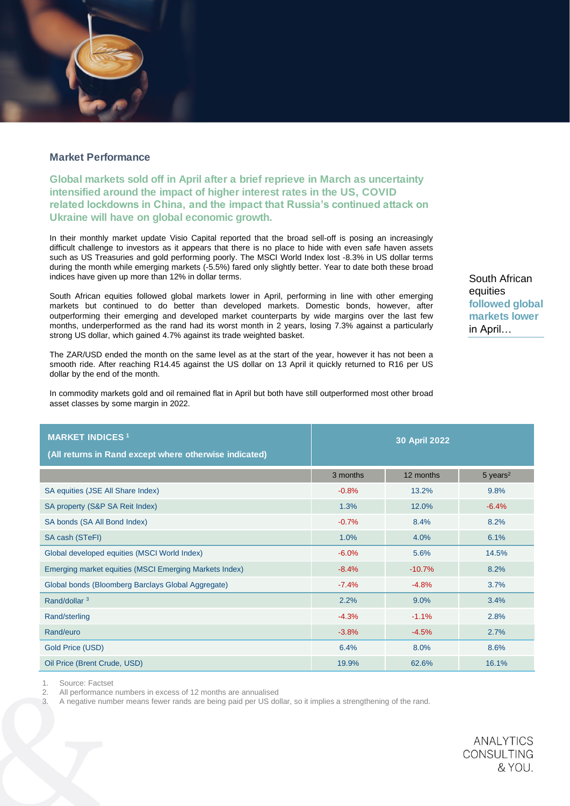## Market Performance

Global markets sold off in April after a brief reprieve in March as uncertainty intensified around the impact of higher interest rates in the US, COVID related lockdowns in China, and the impact that Russia's continued attack on Ukraine will have on global economic growth.

In their monthly market update Visio Capital reported that the broad sell-off is posing an increasingly difficult challenge to investors as it appears that there is no place to hide with even safe haven assets such as US Treasuries and gold performing poorly. The MSCI World Index lost -8.3% in US dollar terms during the month while emerging markets (-5.5%) fared only slightly better. Year to date both these broad indices have given up more than 12% in dollar terms.

South African equities followed global markets lower in April, performing in line with other emerging markets but continued to do better than developed markets. Domestic bonds, however, after outperforming their emerging and developed market counterparts by wide margins over the last few months, underperformed as the rand had its worst month in 2 years, losing 7.3% against a particularly strong US dollar, which gained 4.7% against its trade weighted basket.

The ZAR/USD ended the month on the same level as at the start of the year, however it has not been a smooth ride. After reaching R14.45 against the US dollar on 13 April it quickly returned to R16 per US dollar by the end of the month.

In commodity markets gold and oil remained flat in April but both have still outperformed most other broad asset classes by some margin in 2022.

| <b>MARKET INDICES<sup>1</sup></b><br>(All returns in Rand except where otherwise indicated) | 30 April 2022 |           |                        |
|---------------------------------------------------------------------------------------------|---------------|-----------|------------------------|
|                                                                                             | 3 months      | 12 months | $5$ years <sup>2</sup> |
| SA equities (JSE All Share Index)                                                           | $-0.8%$       | 13.2%     | 9.8%                   |
| SA property (S&P SA Reit Index)                                                             | 1.3%          | 12.0%     | $-6.4%$                |
| SA bonds (SA All Bond Index)                                                                | $-0.7%$       | 8.4%      | 8.2%                   |
| SA cash (STeFI)                                                                             | 1.0%          | 4.0%      | 6.1%                   |
| Global developed equities (MSCI World Index)                                                | $-6.0%$       | 5.6%      | 14.5%                  |
| Emerging market equities (MSCI Emerging Markets Index)                                      | $-8.4%$       | $-10.7%$  | 8.2%                   |
| Global bonds (Bloomberg Barclays Global Aggregate)                                          | $-7.4%$       | $-4.8%$   | 3.7%                   |
| Rand/dollar <sup>3</sup>                                                                    | 2.2%          | 9.0%      | 3.4%                   |
| Rand/sterling                                                                               | $-4.3%$       | $-1.1%$   | 2.8%                   |
| Rand/euro                                                                                   | $-3.8%$       | $-4.5%$   | 2.7%                   |
| Gold Price (USD)                                                                            | 6.4%          | 8.0%      | 8.6%                   |
| Oil Price (Brent Crude, USD)                                                                | 19.9%         | 62.6%     | 16.1%                  |

1. Source: Factset

2. All performance numbers in excess of 12 months are annualised

3. A negative number means fewer rands are being paid per US dollar, so it implies a strengthening of the rand.

South African equities followed global markets lower in April…